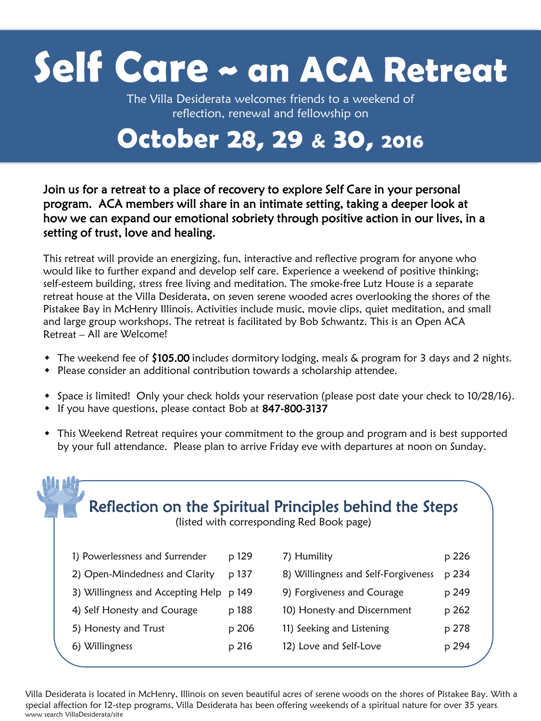## Self Care ~ an ACA Retreat

The Villa Desiderata welcomes friends to a weekend of reflection, renewal and fellowship on

## October 28, 29 & 30, 2016

## Join us for a retreat to a place of recovery to explore Self Care in your personal program. ACA members will share in an intimate setting, taking a deeper look at how we can expand our emotional sobriety through positive action in our lives, in a setting of trust, love and healing.

This retreat will provide an energizing, fun, interactive and reflective program for anyone who would like to further expand and develop self care. Experience a weekend of positive thinking; self-esteem building, stress free living and meditation. The smoke-free Lutz House is a separate retreat house at the Villa Desiderata, on seven serene wooded acres overlooking the shores of the Pistakee Bay in McHenry Illinois. Activities include music, movie clips, quiet meditation, and small and large group workshops. The retreat is facilitated by Bob Schwantz. This is an Open ACA Retreat – All are Welcome!

- $\bullet$  The weekend fee of \$105.00 includes dormitory lodging, meals & program for 3 days and 2 nights.
- Please consider an additional contribution towards a scholarship attendee.
- Space is limited! Only your check holds your reservation (please post date your check to 10/28/16).
- If you have questions, please contact Bob at 847-800-3137

**AA** AA

 This Weekend Retreat requires your commitment to the group and program and is best supported by your full attendance. Please plan to arrive Friday eve with departures at noon on Sunday.

|                      |                                   |       | Reflection on the Spiritual Principles behind the Steps<br>(listed with corresponding Red Book page) |       |
|----------------------|-----------------------------------|-------|------------------------------------------------------------------------------------------------------|-------|
|                      | 1) Powerlessness and Surrender    | p 129 | 7) Humility                                                                                          | p 226 |
|                      | 2) Open-Mindedness and Clarity    | p 137 | 8) Willingness and Self-Forgiveness                                                                  | p 234 |
|                      | 3) Willingness and Accepting Help | p 149 | 9) Forgiveness and Courage                                                                           | p 249 |
|                      | 4) Self Honesty and Courage       | p 188 | 10) Honesty and Discernment                                                                          | p 262 |
| 5) Honesty and Trust |                                   | p 206 | 11) Seeking and Listening                                                                            | p 278 |
| 6) Willingness       |                                   | p 216 | 12) Love and Self-Love                                                                               | p 294 |

Villa Desiderata is located in McHenry, Illinois on seven beautiful acres of serene woods on the shores of Pistakee Bay. With a special affection for 12-step programs, Villa Desiderata has been offering weekends of a spiritual nature for over 35 years. www search VillaDesiderata/site